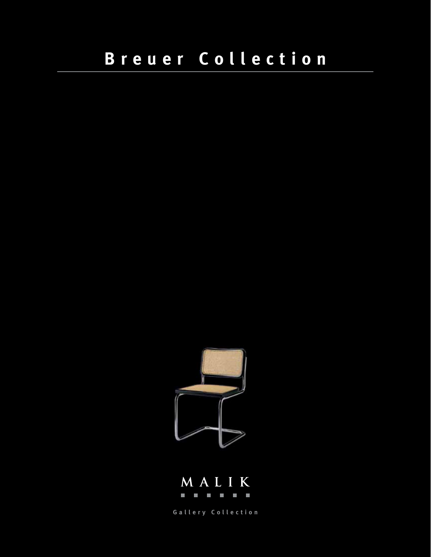



**Gallery Collection**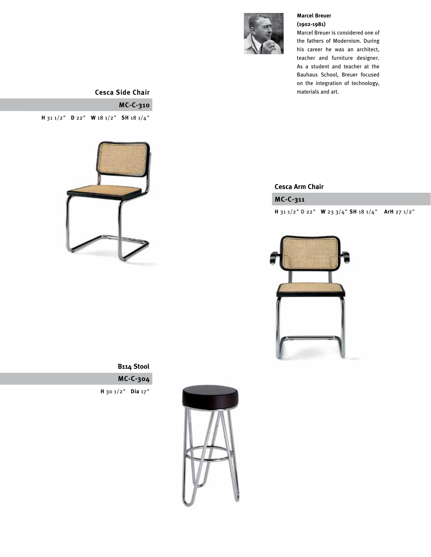

#### **Marcel Breuer (1902-1981)**

Marcel Breuer is considered one of the fathers of Modernism. During his career he was an architect, teacher and furniture designer. As a student and teacher at the Bauhaus School, Breuer focused on the integration of technology, materials and art.

### **Cesca Side Chair**

# **MC-C-310**

**H** 31 1/2" **D** 22" **W** 18 1/2" **SH** 18 1/4"



#### **Cesca Arm Chair**

### **MC-C-311**

**H** 31 1/2" D 22" **W** 23 3/4" **SH** 18 1/4" **ArH** 27 1/2"



**MC-C-304 B114 Stool**

**H** 30 1/2" **Dia** 17"

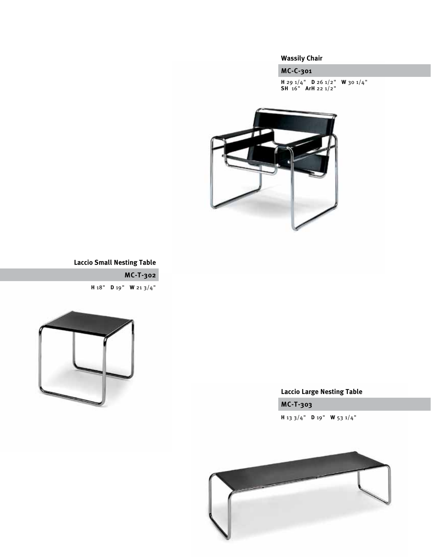## **Wassily Chair**

**MC-C-301**

**H** 29 1/4" **D** 26 1/2" **W** 30 1/4" **SH** 16" **ArH** 22 1/2"



## **Laccio Small Nesting Table**

**MC-T-302 H** 18" **D** 19" **W** 21 3/4"



# **Laccio Large Nesting Table**

**MC-T-303**

**H** 13 3/4" **D** 19" **W** 53 1/4"